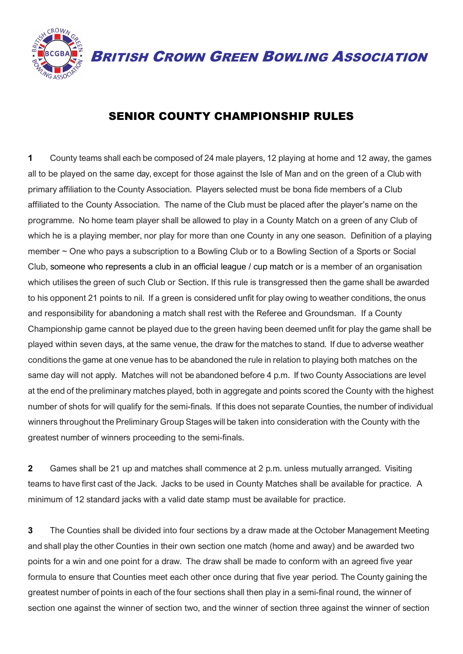

BRITISH CROWN GREEN BOWLING ASSOCIATION

## SENIOR COUNTY CHAMPIONSHIP RULES

**1** County teams shall each be composed of 24 male players, 12 playing at home and 12 away, the games all to be played on the same day, except for those against the Isle of Man and on the green of a Club with primary affiliation to the County Association. Players selected must be bona fide members of a Club affiliated to the County Association. The name of the Club must be placed after the player's name on the programme. No home team player shall be allowed to play in a County Match on a green of any Club of which he is a playing member, nor play for more than one County in any one season. Definition of a playing member ~ One who pays a subscription to a Bowling Club or to a Bowling Section of a Sports or Social Club, someone who represents a club in an official league / cup match or is a member of an organisation which utilises the green of such Club or Section. If this rule is transgressed then the game shall be awarded to his opponent 21 points to nil. If a green is considered unfit for play owing to weather conditions, the onus and responsibility for abandoning a match shall rest with the Referee and Groundsman. If a County Championship game cannot be played due to the green having been deemed unfit for play the game shall be played within seven days, at the same venue, the draw for the matches to stand. If due to adverse weather conditions the game at one venue has to be abandoned the rule in relation to playing both matches on the same day will not apply. Matches will not be abandoned before 4 p.m. If two County Associations are level at the end of the preliminary matches played, both in aggregate and points scored the County with the highest number of shots for will qualify for the semi-finals. If this does not separate Counties, the number of individual winners throughout the Preliminary Group Stages will be taken into consideration with the County with the greatest number of winners proceeding to the semi-finals.

**2** Games shall be 21 up and matches shall commence at 2 p.m. unless mutually arranged. Visiting teams to have first cast of the Jack. Jacks to be used in County Matches shall be available for practice. A minimum of 12 standard jacks with a valid date stamp must be available for practice.

**3** The Counties shall be divided into four sections by a draw made at the October Management Meeting and shall play the other Counties in their own section one match (home and away) and be awarded two points for a win and one point for a draw. The draw shall be made to conform with an agreed five year formula to ensure that Counties meet each other once during that five year period. The County gaining the greatest number of points in each of the four sections shall then play in a semi-final round, the winner of section one against the winner of section two, and the winner of section three against the winner of section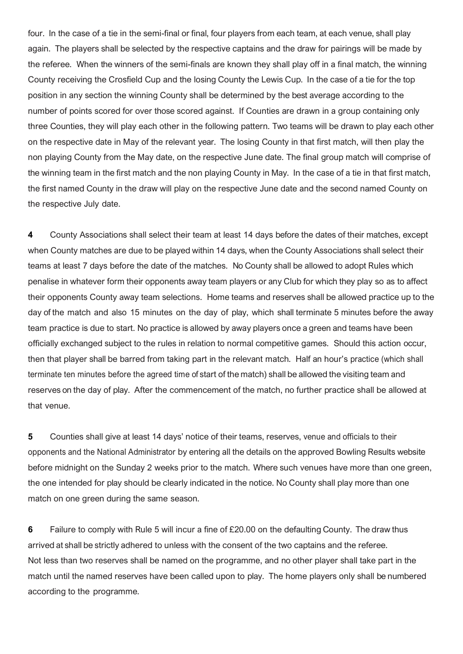four. In the case of a tie in the semi-final or final, four players from each team, at each venue, shall play again. The players shall be selected by the respective captains and the draw for pairings will be made by the referee. When the winners of the semi-finals are known they shall play off in a final match, the winning County receiving the Crosfield Cup and the losing County the Lewis Cup. In the case of a tie for the top position in any section the winning County shall be determined by the best average according to the number of points scored for over those scored against. If Counties are drawn in a group containing only three Counties, they will play each other in the following pattern. Two teams will be drawn to play each other on the respective date in May of the relevant year. The losing County in that first match, will then play the non playing County from the May date, on the respective June date. The final group match will comprise of the winning team in the first match and the non playing County in May. In the case of a tie in that first match, the first named County in the draw will play on the respective June date and the second named County on the respective July date.

**4** County Associations shall select their team at least 14 days before the dates of their matches, except when County matches are due to be played within 14 days, when the County Associations shall select their teams at least 7 days before the date of the matches. No County shall be allowed to adopt Rules which penalise in whatever form their opponents away team players or any Club for which they play so as to affect their opponents County away team selections. Home teams and reserves shall be allowed practice up to the day of the match and also 15 minutes on the day of play, which shall terminate 5 minutes before the away team practice is due to start. No practice is allowed by away players once a green and teams have been officially exchanged subject to the rules in relation to normal competitive games. Should this action occur, then that player shall be barred from taking part in the relevant match. Half an hour's practice (which shall terminate ten minutes before the agreed time of start of the match) shall be allowed the visiting team and reserves on the day of play. After the commencement of the match, no further practice shall be allowed at that venue.

**5** Counties shall give at least 14 days' notice of their teams, reserves, venue and officials to their opponents and the National Administrator by entering all the details on the approved Bowling Results website before midnight on the Sunday 2 weeks prior to the match. Where such venues have more than one green, the one intended for play should be clearly indicated in the notice. No County shall play more than one match on one green during the same season.

**6** Failure to comply with Rule 5 will incur a fine of £20.00 on the defaulting County. The draw thus arrived at shall be strictly adhered to unless with the consent of the two captains and the referee. Not less than two reserves shall be named on the programme, and no other player shall take part in the match until the named reserves have been called upon to play. The home players only shall be numbered according to the programme.